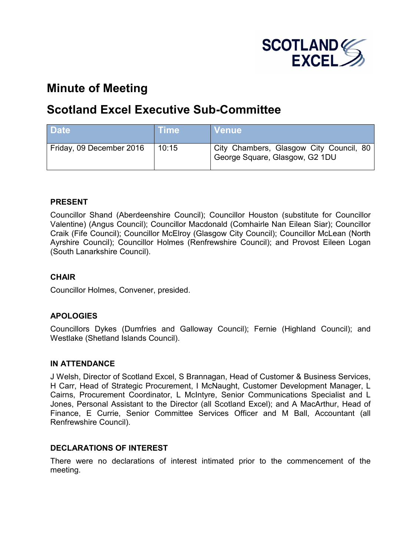

# **Minute of Meeting**

# **Scotland Excel Executive Sub-Committee**

| <b>Date</b>              | <b>Time</b> | <b>Venue</b>                                                                |
|--------------------------|-------------|-----------------------------------------------------------------------------|
| Friday, 09 December 2016 | 10:15       | City Chambers, Glasgow City Council, 80  <br>George Square, Glasgow, G2 1DU |

# **PRESENT**

Councillor Shand (Aberdeenshire Council); Councillor Houston (substitute for Councillor Valentine) (Angus Council); Councillor Macdonald (Comhairle Nan Eilean Siar); Councillor Craik (Fife Council); Councillor McElroy (Glasgow City Council); Councillor McLean (North Ayrshire Council); Councillor Holmes (Renfrewshire Council); and Provost Eileen Logan (South Lanarkshire Council).

# **CHAIR**

Councillor Holmes, Convener, presided.

### **APOLOGIES**

Councillors Dykes (Dumfries and Galloway Council); Fernie (Highland Council); and Westlake (Shetland Islands Council).

### **IN ATTENDANCE**

J Welsh, Director of Scotland Excel, S Brannagan, Head of Customer & Business Services, H Carr, Head of Strategic Procurement, I McNaught, Customer Development Manager, L Cairns, Procurement Coordinator, L McIntyre, Senior Communications Specialist and L Jones, Personal Assistant to the Director (all Scotland Excel); and A MacArthur, Head of Finance, E Currie, Senior Committee Services Officer and M Ball, Accountant (all Renfrewshire Council).

### **DECLARATIONS OF INTEREST**

There were no declarations of interest intimated prior to the commencement of the meeting.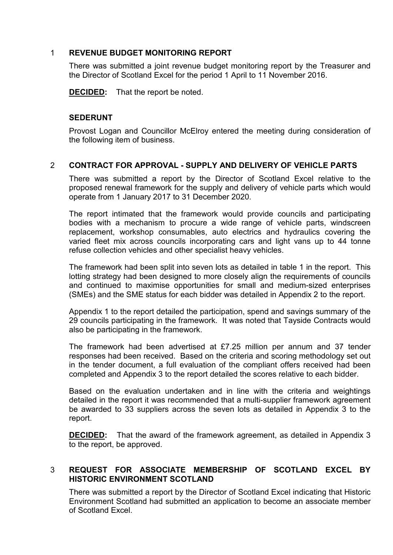### 1 **REVENUE BUDGET MONITORING REPORT**

There was submitted a joint revenue budget monitoring report by the Treasurer and the Director of Scotland Excel for the period 1 April to 11 November 2016.

**DECIDED:** That the report be noted.

#### **SEDERUNT**

Provost Logan and Councillor McElroy entered the meeting during consideration of the following item of business.

### 2 **CONTRACT FOR APPROVAL - SUPPLY AND DELIVERY OF VEHICLE PARTS**

There was submitted a report by the Director of Scotland Excel relative to the proposed renewal framework for the supply and delivery of vehicle parts which would operate from 1 January 2017 to 31 December 2020.

The report intimated that the framework would provide councils and participating bodies with a mechanism to procure a wide range of vehicle parts, windscreen replacement, workshop consumables, auto electrics and hydraulics covering the varied fleet mix across councils incorporating cars and light vans up to 44 tonne refuse collection vehicles and other specialist heavy vehicles.

The framework had been split into seven lots as detailed in table 1 in the report. This lotting strategy had been designed to more closely align the requirements of councils and continued to maximise opportunities for small and medium-sized enterprises (SMEs) and the SME status for each bidder was detailed in Appendix 2 to the report.

Appendix 1 to the report detailed the participation, spend and savings summary of the 29 councils participating in the framework. It was noted that Tayside Contracts would also be participating in the framework.

The framework had been advertised at £7.25 million per annum and 37 tender responses had been received. Based on the criteria and scoring methodology set out in the tender document, a full evaluation of the compliant offers received had been completed and Appendix 3 to the report detailed the scores relative to each bidder.

Based on the evaluation undertaken and in line with the criteria and weightings detailed in the report it was recommended that a multi-supplier framework agreement be awarded to 33 suppliers across the seven lots as detailed in Appendix 3 to the report.

**DECIDED:** That the award of the framework agreement, as detailed in Appendix 3 to the report, be approved.

# 3 **REQUEST FOR ASSOCIATE MEMBERSHIP OF SCOTLAND EXCEL BY HISTORIC ENVIRONMENT SCOTLAND**

There was submitted a report by the Director of Scotland Excel indicating that Historic Environment Scotland had submitted an application to become an associate member of Scotland Excel.